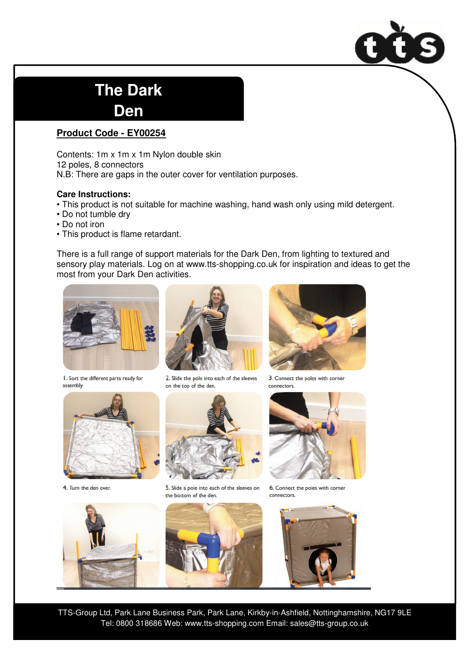

## **The Dark**

**Den**

## **Product Code - EY00254**

Contents: 1m x 1m x 1m Nylon double skin 12 poles, 8 connectors N.B: There are gaps in the outer cover for ventilation purposes.

## **Care Instructions:**

- This product is not suitable for machine washing, hand wash only using mild detergent.
- Do not tumble dry
- Do not iron
- This product is flame retardant.

There is a full range of support materials for the Dark Den, from lighting to textured and sensory play materials. Log on at www.tts-shopping.co.uk for inspiration and ideas to get the most from your Dark Den activities.



I. Sort the different parts ready for assembly.



4. Turn the den over.







5. Slide a pole into each of the sleeves on the bottom of the den.





3. Connect the poles with corner connectors.



6. Connect the poles with corner connectors.



TTS-Group Ltd, Park Lane Business Park, Park Lane, Kirkby-in-Ashfield, Nottinghamshire, NG17 9LE Tel: 0800 318686 Web: www.tts-shopping.com Email: sales@tts-group.co.uk